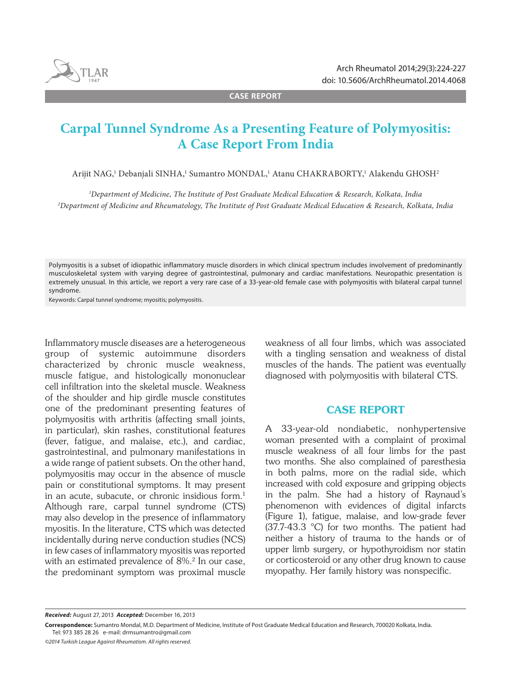

**CASE REPORT**

# **Carpal Tunnel Syndrome As a Presenting Feature of Polymyositis: A Case Report From India**

Arijit NAG,' Debanjali SINHA,' Sumantro MONDAL,' Atanu CHAKRABORTY,' Alakendu GHOSH<del>'</del>

*1 Department of Medicine, The Institute of Post Graduate Medical Education & Research, Kolkata, India 2 Department of Medicine and Rheumatology, The Institute of Post Graduate Medical Education & Research, Kolkata, India*

Polymyositis is a subset of idiopathic inflammatory muscle disorders in which clinical spectrum includes involvement of predominantly musculoskeletal system with varying degree of gastrointestinal, pulmonary and cardiac manifestations. Neuropathic presentation is extremely unusual. In this article, we report a very rare case of a 33-year-old female case with polymyositis with bilateral carpal tunnel syndrome.

Keywords: Carpal tunnel syndrome; myositis; polymyositis.

Inflammatory muscle diseases are a heterogeneous group of systemic autoimmune disorders characterized by chronic muscle weakness, muscle fatigue, and histologically mononuclear cell infiltration into the skeletal muscle. Weakness of the shoulder and hip girdle muscle constitutes one of the predominant presenting features of polymyositis with arthritis (affecting small joints, in particular), skin rashes, constitutional features (fever, fatigue, and malaise, etc.), and cardiac, gastrointestinal, and pulmonary manifestations in a wide range of patient subsets. On the other hand, polymyositis may occur in the absence of muscle pain or constitutional symptoms. It may present in an acute, subacute, or chronic insidious form.<sup>1</sup> Although rare, carpal tunnel syndrome (CTS) may also develop in the presence of inflammatory myositis. In the literature, CTS which was detected incidentally during nerve conduction studies (NCS) in few cases of inflammatory myositis was reported with an estimated prevalence of 8%.<sup>2</sup> In our case, the predominant symptom was proximal muscle weakness of all four limbs, which was associated with a tingling sensation and weakness of distal muscles of the hands. The patient was eventually diagnosed with polymyositis with bilateral CTS.

## CASE REPORT

A 33-year-old nondiabetic, nonhypertensive woman presented with a complaint of proximal muscle weakness of all four limbs for the past two months. She also complained of paresthesia in both palms, more on the radial side, which increased with cold exposure and gripping objects in the palm. She had a history of Raynaud's phenomenon with evidences of digital infarcts (Figure 1), fatigue, malaise, and low-grade fever (37.7-43.3 °C) for two months. The patient had neither a history of trauma to the hands or of upper limb surgery, or hypothyroidism nor statin or corticosteroid or any other drug known to cause myopathy. Her family history was nonspecific.

*Received:* August 27, 2013 *Accepted:* December 16, 2013

**Correspondence:** Sumantro Mondal, M.D. Department of Medicine, Institute of Post Graduate Medical Education and Research, 700020 Kolkata, India. Tel: 973 385 28 26 e-mail: drmsumantro@gmail.com

*©2014 Turkish League Against Rheumatism. All rights reserved.*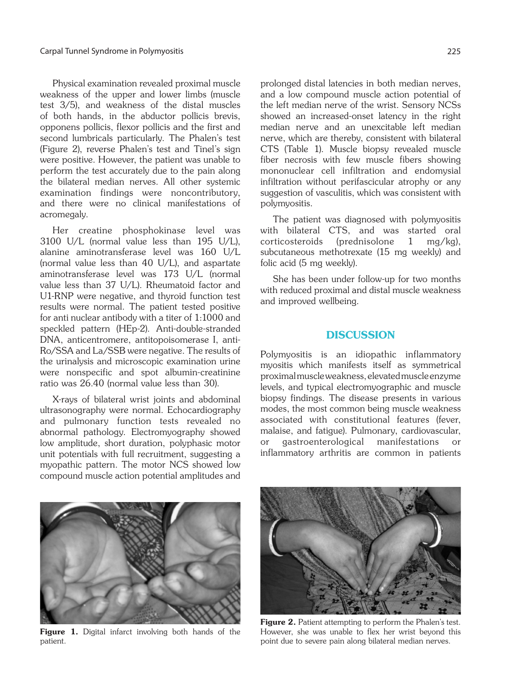### Carpal Tunnel Syndrome in Polymyositis 225

Physical examination revealed proximal muscle weakness of the upper and lower limbs (muscle test 3/5), and weakness of the distal muscles of both hands, in the abductor pollicis brevis, opponens pollicis, flexor pollicis and the first and second lumbricals particularly. The Phalen's test (Figure 2), reverse Phalen's test and Tinel's sign were positive. However, the patient was unable to perform the test accurately due to the pain along the bilateral median nerves. All other systemic examination findings were noncontributory, and there were no clinical manifestations of acromegaly.

Her creatine phosphokinase level was 3100 U/L (normal value less than 195 U/L), alanine aminotransferase level was 160 U/L (normal value less than 40 U/L), and aspartate aminotransferase level was 173 U/L (normal value less than 37 U/L). Rheumatoid factor and U1-RNP were negative, and thyroid function test results were normal. The patient tested positive for anti nuclear antibody with a titer of 1:1000 and speckled pattern (HEp-2). Anti-double-stranded DNA, anticentromere, antitopoisomerase I, anti-Ro/SSA and La/SSB were negative. The results of the urinalysis and microscopic examination urine were nonspecific and spot albumin-creatinine ratio was 26.40 (normal value less than 30).

X-rays of bilateral wrist joints and abdominal ultrasonography were normal. Echocardiography and pulmonary function tests revealed no abnormal pathology. Electromyography showed low amplitude, short duration, polyphasic motor unit potentials with full recruitment, suggesting a myopathic pattern. The motor NCS showed low compound muscle action potential amplitudes and prolonged distal latencies in both median nerves, and a low compound muscle action potential of the left median nerve of the wrist. Sensory NCSs showed an increased-onset latency in the right median nerve and an unexcitable left median nerve, which are thereby, consistent with bilateral CTS (Table 1). Muscle biopsy revealed muscle fiber necrosis with few muscle fibers showing mononuclear cell infiltration and endomysial infiltration without perifascicular atrophy or any suggestion of vasculitis, which was consistent with polymyositis.

The patient was diagnosed with polymyositis with bilateral CTS, and was started oral corticosteroids (prednisolone 1 mg/kg), subcutaneous methotrexate (15 mg weekly) and folic acid (5 mg weekly).

She has been under follow-up for two months with reduced proximal and distal muscle weakness and improved wellbeing.

# **DISCUSSION**

Polymyositis is an idiopathic inflammatory myositis which manifests itself as symmetrical proximal muscle weakness, elevated muscle enzyme levels, and typical electromyographic and muscle biopsy findings. The disease presents in various modes, the most common being muscle weakness associated with constitutional features (fever, malaise, and fatigue). Pulmonary, cardiovascular, or gastroenterological manifestations or inflammatory arthritis are common in patients



Figure 1. Digital infarct involving both hands of the patient.



Figure 2. Patient attempting to perform the Phalen's test. However, she was unable to flex her wrist beyond this point due to severe pain along bilateral median nerves.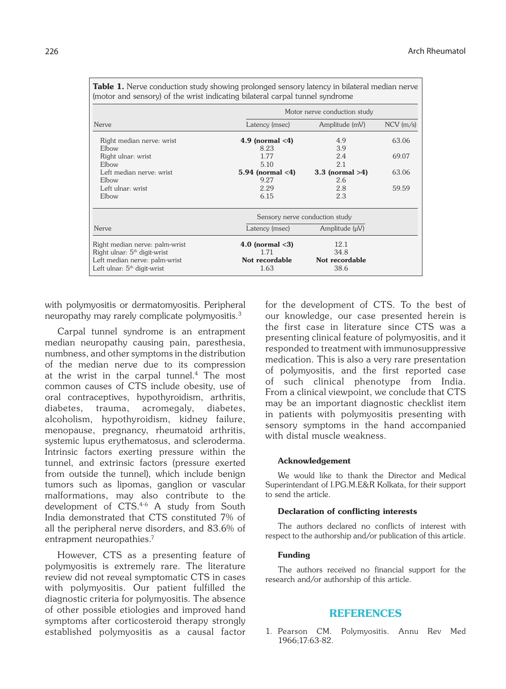| (motor and sensory) of the wrist indicating bilateral carpal tunnel syndrome                                                                           |                                                      |                                        |             |
|--------------------------------------------------------------------------------------------------------------------------------------------------------|------------------------------------------------------|----------------------------------------|-------------|
|                                                                                                                                                        | Motor nerve conduction study                         |                                        |             |
| Nerve                                                                                                                                                  | Latency (msec)                                       | Amplitude (mV)                         | $NCV$ (m/s) |
| Right median nerve: wrist                                                                                                                              | 4.9 (normal $\langle 4 \rangle$                      | 4.9                                    | 63.06       |
| Elbow                                                                                                                                                  | 8.23                                                 | 3.9                                    |             |
| Right ulnar: wrist                                                                                                                                     | 1.77                                                 | 2.4                                    | 69.07       |
| Elbow                                                                                                                                                  | 5.10                                                 | 2.1                                    |             |
| Left median nerve: wrist                                                                                                                               | $5.94$ (normal $\langle 4 \rangle$                   | 3.3 (normal $>4$ )                     | 63.06       |
| Elbow                                                                                                                                                  | 9.27                                                 | 2.6                                    |             |
| Left ulnar: wrist                                                                                                                                      | 2.29                                                 | 2.8                                    | 59.59       |
| Elbow                                                                                                                                                  | 6.15                                                 | 2.3                                    |             |
|                                                                                                                                                        | Sensory nerve conduction study                       |                                        |             |
| Nerve                                                                                                                                                  | Latency (msec)                                       | Amplitude (µV)                         |             |
| Right median nerve: palm-wrist<br>Right ulnar: 5 <sup>th</sup> digit-wrist<br>Left median nerve: palm-wrist<br>Left ulnar: 5 <sup>th</sup> digit-wrist | 4.0 (normal $<$ 3)<br>1.71<br>Not recordable<br>1.63 | 12.1<br>34.8<br>Not recordable<br>38.6 |             |

**Table 1.** Nerve conduction study showing prolonged sensory latency in bilateral median nerve

with polymyositis or dermatomyositis. Peripheral neuropathy may rarely complicate polymyositis.3

Carpal tunnel syndrome is an entrapment median neuropathy causing pain, paresthesia, numbness, and other symptoms in the distribution of the median nerve due to its compression at the wrist in the carpal tunnel.4 The most common causes of CTS include obesity, use of oral contraceptives, hypothyroidism, arthritis, diabetes, trauma, acromegaly, diabetes, alcoholism, hypothyroidism, kidney failure, menopause, pregnancy, rheumatoid arthritis, systemic lupus erythematosus, and scleroderma. Intrinsic factors exerting pressure within the tunnel, and extrinsic factors (pressure exerted from outside the tunnel), which include benign tumors such as lipomas, ganglion or vascular malformations, may also contribute to the development of CTS.4-6 A study from South India demonstrated that CTS constituted 7% of all the peripheral nerve disorders, and 83.6% of entrapment neuropathies.<sup>7</sup>

However, CTS as a presenting feature of polymyositis is extremely rare. The literature review did not reveal symptomatic CTS in cases with polymyositis. Our patient fulfilled the diagnostic criteria for polymyositis. The absence of other possible etiologies and improved hand symptoms after corticosteroid therapy strongly established polymyositis as a causal factor for the development of CTS. To the best of our knowledge, our case presented herein is the first case in literature since CTS was a presenting clinical feature of polymyositis, and it responded to treatment with immunosuppressive medication. This is also a very rare presentation of polymyositis, and the first reported case of such clinical phenotype from India. From a clinical viewpoint, we conclude that CTS may be an important diagnostic checklist item in patients with polymyositis presenting with sensory symptoms in the hand accompanied with distal muscle weakness.

#### Acknowledgement

We would like to thank the Director and Medical Superintendant of I.PG.M.E&R Kolkata, for their support to send the article.

#### Declaration of conflicting interests

The authors declared no conflicts of interest with respect to the authorship and/or publication of this article.

#### Funding

The authors received no financial support for the research and/or authorship of this article.

## REFERENCES

1. Pearson CM. Polymyositis. Annu Rev Med 1966;17:63-82.